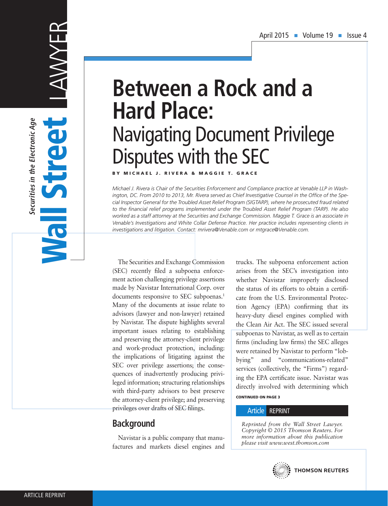# LAWYER Securities in the Electronic Age **Securities in the Electronic Age** Wall Street Un **POLI**

# **Between a Rock and a Hard Place:** Navigating Document Privilege Disputes with the SEC

BY MICHAEL J. RIVERA & MAGGIE T. GRACE

*Michael J. Rivera is Chair of the Securities Enforcement and Compliance practice at Venable LLP in Washington, DC. From 2010 to 2013, Mr. Rivera served as Chief Investigative Counsel in the Office of the Special Inspector General for the Troubled Asset Relief Program (SIGTARP), where he prosecuted fraud related to the financial relief programs implemented under the Troubled Asset Relief Program (TARP). He also worked as a staff attorney at the Securities and Exchange Commission. Maggie T. Grace is an associate in Venable's Investigations and White Collar Defense Practice. Her practice includes representing clients in investigations and litigation. Contact: mrivera@Venable.com or mtgrace@Venable.com.*

The Securities and Exchange Commission (SEC) recently filed a subpoena enforcement action challenging privilege assertions made by Navistar International Corp. over documents responsive to SEC subpoenas.<sup>1</sup> Many of the documents at issue relate to advisors (lawyer and non-lawyer) retained by Navistar. The dispute highlights several important issues relating to establishing and preserving the attorney-client privilege and work-product protection, including: the implications of litigating against the SEC over privilege assertions; the consequences of inadvertently producing privileged information; structuring relationships with third-party advisors to best preserve the attorney-client privilege; and preserving privileges over drafts of SEC filings.

# **Background**

Navistar is a public company that manufactures and markets diesel engines and trucks. The subpoena enforcement action arises from the SEC's investigation into whether Navistar improperly disclosed the status of its efforts to obtain a certificate from the U.S. Environmental Protection Agency (EPA) confirming that its heavy-duty diesel engines complied with the Clean Air Act. The SEC issued several subpoenas to Navistar, as well as to certain firms (including law firms) the SEC alleges were retained by Navistar to perform "lobbying" and "communications-related" services (collectively, the "Firms") regarding the EPA certificate issue. Navistar was directly involved with determining which

CONTINUED ON PAGE 3

#### Article REPRINT

*Reprinted from the Wall Street Lawyer. Copyright © 2015 Thomson Reuters. For more information about this publication please visit www.west.thomson.com*

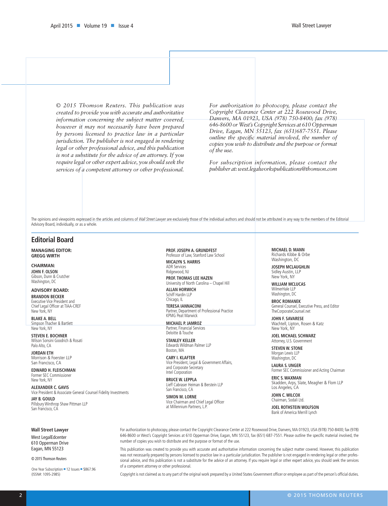*© 2015 Thomson Reuters. This publication was created to provide you with accurate and authoritative information concerning the subject matter covered, however it may not necessarily have been prepared by persons licensed to practice law in a particular jurisdiction. The publisher is not engaged in rendering legal or other professional advice, and this publication is not a substitute for the advice of an attorney. If you require legal or other expert advice, you should seek the services of a competent attorney or other professional.* 

*For authorization to photocopy, please contact the Copyright Clearance Center at 222 Rosewood Drive, Danvers, MA 01923, USA (978) 750-8400; fax (978) 646-8600 or West's Copyright Services at 610 Opperman Drive, Eagan, MN 55123, fax (651)687-7551. Please outline the specific material involved, the number of copies you wish to distribute and the purpose or format of the use.* 

*For subscription information, please contact the publisher at: west.legalworkspublications@thomson.com*

The opinions and viewpoints expressed in the articles and columns of *Wall Street Lawyer* are exclusively those of the individual authors and should not be attributed in any way to the members of the Editorial Advisory Board, individually, or as a whole.

#### **Editorial Board**

**MANAGING EDITOR: GREGG WIRTH**

**CHAIRMAN: JOHN F. OLSON** Gibson, Dunn & Crutcher Washington, DC

**ADVISORY BOARD:**

**BRANDON BECKER** Executive Vice President and Chief Legal Officer at TIAA-CREF New York, NY

**BLAKE A. BELL** Simpson Thacher & Bartlett New York, NY

**STEVEN E. BOCHNER** Wilson Sonsini Goodrich & Rosati Palo Alto, CA

**JORDAN ETH** Morrison & Foerster LLP San Francisco, CA

**EDWARD H. FLEISCHMAN** Former SEC Commissioner New York, NY

**ALEXANDER C. GAVIS** Vice President & Associate General Counsel Fidelity Investments **JAY B. GOULD**

Pillsbury Winthrop Shaw Pittman LLP San Francisco, CA

#### **PROF. JOSEPH A. GRUNDFEST**

Professor of Law, Stanford Law School **MICALYN S. HARRIS**

ADR Services Ridgewood, NJ **PROF. THOMAS LEE HAZEN**

University of North Carolina – Chapel Hill **ALLAN HORWICH**

Schiff Hardin LLP Chicago, IL **TERESA IANNACONI**

Partner, Department of Professional Practice KPMG Peat Marwick

**MICHAEL P. JAMROZ** Partner, Financial Services Deloitte & Touche

**STANLEY KELLER** Edwards Wildman Palmer LLP Boston, MA

**CARY I. KLAFTER** Vice President, Legal & Government Affairs, and Corporate Secretary Intel Corporation

**BRUCE W. LEPPLA** Lieff Cabraser Heiman & Berstein LLP San Francisco, CA

**SIMON M. LORNE** Vice Chairman and Chief Legal Officer at Millennium Partners, L.P.

**MICHAEL D. MANN** Richards Kibbe & Orbe Washington, DC

**JOSEPH MCLAUGHLIN** Sidley Austin, LLP New York, NY

**WILLIAM MCLUCAS** WilmerHale LLP Washington, DC

**BROC ROMANEK** General Counsel, Executive Press, and Editor TheCorporateCounsel.net

**JOHN F. SAVARESE** Wachtell, Lipton, Rosen & Katz New York, NY

**JOEL MICHAEL SCHWARZ** Attorney, U.S. Government

**STEVEN W. STONE** Morgan Lewis LLP Washington, DC

**LAURA S. UNGER** Former SEC Commissioner and Acting Chairman

**ERIC S. WAXMAN** Skadden, Arps, Slate, Meagher & Flom LLP Los Angeles, CA

**JOHN C. WILCOX** Chairman, Sodali Ltd.

**JOEL ROTHSTEIN WOLFSON** Bank of America Merrill Lynch

**Wall Street Lawyer**

West LegalEdcenter 610 Opperman Drive Eagan, MN 55123

© 2015 Thomson Reuters

One Year Subscription = 12 Issues = \$867.96 (ISSN#: 1095-2985)

For authorization to photocopy, please contact the Copyright Clearance Center at 222 Rosewood Drive, Danvers, MA 01923, USA (978) 750-8400; fax (978) 646-8600 or West's Copyright Services at 610 Opperman Drive, Eagan, MN 55123, fax (651) 687-7551. Please outline the specific material involved, the number of copies you wish to distribute and the purpose or format of the use.

This publication was created to provide you with accurate and authoritative information concerning the subject matter covered. However, this publication was not necessarily prepared by persons licensed to practice law in a particular jurisdication. The publisher is not engaged in rendering legal or other professional advice, and this publication is not a substitute for the advice of an attorney. If you require legal or other expert advice, you should seek the services of a competent attorney or other professional.

Copyright is not claimed as to any part of the original work prepared by a United States Government officer or employee as part of the person's official duties.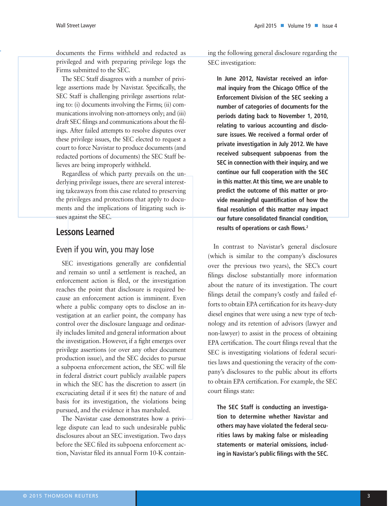documents the Firms withheld and redacted as privileged and with preparing privilege logs the Firms submitted to the SEC.

The SEC Staff disagrees with a number of privilege assertions made by Navistar. Specifically, the SEC Staff is challenging privilege assertions relating to: (i) documents involving the Firms; (ii) communications involving non-attorneys only; and (iii) draft SEC filings and communications about the filings. After failed attempts to resolve disputes over these privilege issues, the SEC elected to request a court to force Navistar to produce documents (and redacted portions of documents) the SEC Staff believes are being improperly withheld.

Regardless of which party prevails on the underlying privilege issues, there are several interesting takeaways from this case related to preserving the privileges and protections that apply to documents and the implications of litigating such issues against the SEC.

# **Lessons Learned**

#### Even if you win, you may lose

SEC investigations generally are confidential and remain so until a settlement is reached, an enforcement action is filed, or the investigation reaches the point that disclosure is required because an enforcement action is imminent. Even where a public company opts to disclose an investigation at an earlier point, the company has control over the disclosure language and ordinarily includes limited and general information about the investigation. However, if a fight emerges over privilege assertions (or over any other document production issue), and the SEC decides to pursue a subpoena enforcement action, the SEC will file in federal district court publicly available papers in which the SEC has the discretion to assert (in excruciating detail if it sees fit) the nature of and basis for its investigation, the violations being pursued, and the evidence it has marshaled.

The Navistar case demonstrates how a privilege dispute can lead to such undesirable public disclosures about an SEC investigation. Two days before the SEC filed its subpoena enforcement action, Navistar filed its annual Form 10-K containing the following general disclosure regarding the SEC investigation:

**In June 2012, Navistar received an informal inquiry from the Chicago Office of the Enforcement Division of the SEC seeking a number of categories of documents for the periods dating back to November 1, 2010, relating to various accounting and disclosure issues. We received a formal order of private investigation in July 2012. We have received subsequent subpoenas from the SEC in connection with their inquiry, and we continue our full cooperation with the SEC in this matter. At this time, we are unable to predict the outcome of this matter or provide meaningful quantification of how the final resolution of this matter may impact our future consolidated financial condition, results of operations or cash flows.2**

In contrast to Navistar's general disclosure (which is similar to the company's disclosures over the previous two years), the SEC's court filings disclose substantially more information about the nature of its investigation. The court filings detail the company's costly and failed efforts to obtain EPA certification for its heavy-duty diesel engines that were using a new type of technology and its retention of advisors (lawyer and non-lawyer) to assist in the process of obtaining EPA certification. The court filings reveal that the SEC is investigating violations of federal securities laws and questioning the veracity of the company's disclosures to the public about its efforts to obtain EPA certification. For example, the SEC court filings state:

**The SEC Staff is conducting an investigation to determine whether Navistar and others may have violated the federal securities laws by making false or misleading statements or material omissions, including in Navistar's public filings with the SEC.**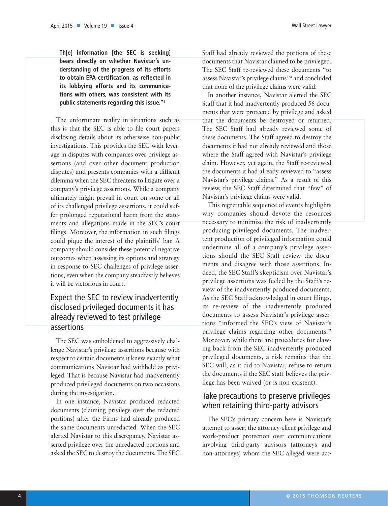**Th[e] information [the SEC is seeking] bears directly on whether Navistar's understanding of the progress of its efforts to obtain EPA certification, as reflected in its lobbying efforts and its communications with others, was consistent with its public statements regarding this issue."3**

The unfortunate reality in situations such as this is that the SEC is able to file court papers disclosing details about its otherwise non-public investigations. This provides the SEC with leverage in disputes with companies over privilege assertions (and over other document production disputes) and presents companies with a difficult dilemma when the SEC threatens to litigate over a company's privilege assertions. While a company ultimately might prevail in court on some or all of its challenged privilege assertions, it could suffer prolonged reputational harm from the statements and allegations made in the SEC's court filings. Moreover, the information in such filings could pique the interest of the plaintiffs' bar. A company should consider these potential negative outcomes when assessing its options and strategy in response to SEC challenges of privilege assertions, even when the company steadfastly believes it will be victorious in court.

### Expect the SEC to review inadvertently disclosed privileged documents it has already reviewed to test privilege assertions

The SEC was emboldened to aggressively challenge Navistar's privilege assertions because with respect to certain documents it knew exactly what communications Navistar had withheld as privileged. That is because Navistar had inadvertently produced privileged documents on two occasions during the investigation.

In one instance, Navistar produced redacted documents (claiming privilege over the redacted portions) after the Firms had already produced the same documents unredacted. When the SEC alerted Navistar to this discrepancy, Navistar asserted privilege over the unredacted portions and asked the SEC to destroy the documents. The SEC

Staff had already reviewed the portions of these documents that Navistar claimed to be privileged. The SEC Staff re-reviewed these documents "to assess Navistar's privilege claims"4 and concluded that none of the privilege claims were valid.

In another instance, Navistar alerted the SEC Staff that it had inadvertently produced 56 documents that were protected by privilege and asked that the documents be destroyed or returned. The SEC Staff had already reviewed some of these documents. The Staff agreed to destroy the documents it had not already reviewed and those where the Staff agreed with Navistar's privilege claim. However, yet again, the Staff re-reviewed the documents it had already reviewed to "assess Navistar's privilege claims." As a result of this review, the SEC Staff determined that "few" of Navistar's privilege claims were valid.

This regrettable sequence of events highlights why companies should devote the resources necessary to minimize the risk of inadvertently producing privileged documents. The inadvertent production of privileged information could undermine all of a company's privilege assertions should the SEC Staff review the documents and disagree with those assertions. Indeed, the SEC Staff's skepticism over Navistar's privilege assertions was fueled by the Staff's review of the inadvertently produced documents. As the SEC Staff acknowledged in court filings, its re-review of the inadvertently produced documents to assess Navistar's privilege assertions "informed the SEC's view of Navistar's privilege claims regarding other documents." Moreover, while there are procedures for clawing back from the SEC inadvertently produced privileged documents, a risk remains that the SEC will, as it did to Navistar, refuse to return the documents if the SEC staff believes the privilege has been waived (or is non-existent).

### Take precautions to preserve privileges when retaining third-party advisors

The SEC's primary concern here is Navistar's attempt to assert the attorney-client privilege and work-product protection over communications involving third-party advisors (attorneys and non-attorneys) whom the SEC alleged were act-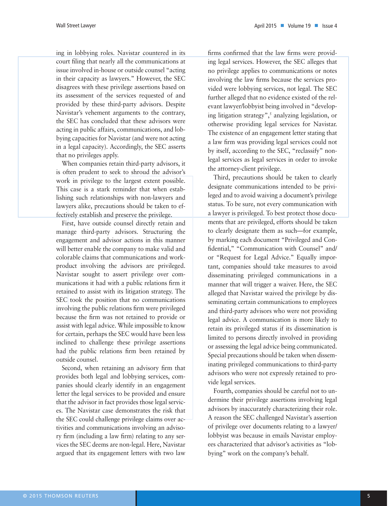ing in lobbying roles. Navistar countered in its court filing that nearly all the communications at issue involved in-house or outside counsel "acting in their capacity as lawyers." However, the SEC disagrees with these privilege assertions based on its assessment of the services requested of and provided by these third-party advisors. Despite Navistar's vehement arguments to the contrary, the SEC has concluded that these advisors were acting in public affairs, communications, and lobbying capacities for Navistar (and were not acting in a legal capacity). Accordingly, the SEC asserts that no privileges apply.

When companies retain third-party advisors, it is often prudent to seek to shroud the advisor's work in privilege to the largest extent possible. This case is a stark reminder that when establishing such relationships with non-lawyers and lawyers alike, precautions should be taken to effectively establish and preserve the privilege.

First, have outside counsel directly retain and manage third-party advisors. Structuring the engagement and advisor actions in this manner will better enable the company to make valid and colorable claims that communications and workproduct involving the advisors are privileged. Navistar sought to assert privilege over communications it had with a public relations firm it retained to assist with its litigation strategy. The SEC took the position that no communications involving the public relations firm were privileged because the firm was not retained to provide or assist with legal advice. While impossible to know for certain, perhaps the SEC would have been less inclined to challenge these privilege assertions had the public relations firm been retained by outside counsel.

Second, when retaining an advisory firm that provides both legal and lobbying services, companies should clearly identify in an engagement letter the legal services to be provided and ensure that the advisor in fact provides those legal services. The Navistar case demonstrates the risk that the SEC could challenge privilege claims over activities and communications involving an advisory firm (including a law firm) relating to any services the SEC deems are non-legal. Here, Navistar argued that its engagement letters with two law

firms confirmed that the law firms were providing legal services. However, the SEC alleges that no privilege applies to communications or notes involving the law firms because the services provided were lobbying services, not legal. The SEC further alleged that no evidence existed of the relevant lawyer/lobbyist being involved in "developing litigation strategy",<sup>5</sup> analyzing legislation, or otherwise providing legal services for Navistar. The existence of an engagement letter stating that a law firm was providing legal services could not by itself, according to the SEC, "reclassify" nonlegal services as legal services in order to invoke the attorney-client privilege.

Third, precautions should be taken to clearly designate communications intended to be privileged and to avoid waiving a document's privilege status. To be sure, not every communication with a lawyer is privileged. To best protect those documents that are privileged, efforts should be taken to clearly designate them as such—for example, by marking each document "Privileged and Confidential," "Communication with Counsel" and/ or "Request for Legal Advice." Equally important, companies should take measures to avoid disseminating privileged communications in a manner that will trigger a waiver. Here, the SEC alleged that Navistar waived the privilege by disseminating certain communications to employees and third-party advisors who were not providing legal advice. A communication is more likely to retain its privileged status if its dissemination is limited to persons directly involved in providing or assessing the legal advice being communicated. Special precautions should be taken when disseminating privileged communications to third-party advisors who were not expressly retained to provide legal services.

Fourth, companies should be careful not to undermine their privilege assertions involving legal advisors by inaccurately characterizing their role. A reason the SEC challenged Navistar's assertion of privilege over documents relating to a lawyer/ lobbyist was because in emails Navistar employees characterized that advisor's activities as "lobbying" work on the company's behalf.